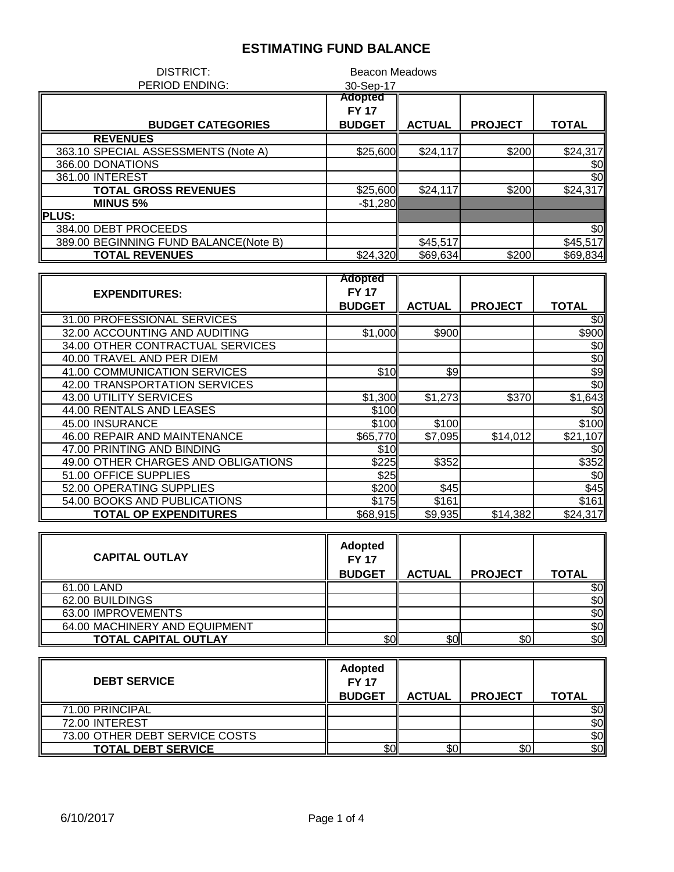| DISTRICT:                             | <b>Beacon Meadows</b> |               |                |          |
|---------------------------------------|-----------------------|---------------|----------------|----------|
| PERIOD ENDING:                        | 30-Sep-17             |               |                |          |
|                                       | <b>Adopted</b>        |               |                |          |
|                                       | <b>FY 17</b>          |               |                |          |
| <b>BUDGET CATEGORIES</b>              | <b>BUDGET</b>         | <b>ACTUAL</b> | <b>PROJECT</b> | TOTAL    |
| <b>REVENUES</b>                       |                       |               |                |          |
| 363.10 SPECIAL ASSESSMENTS (Note A)   | \$25,600              | \$24,117      | \$200          | \$24,317 |
| 366.00 DONATIONS                      |                       |               |                | \$0      |
| 361.00 INTEREST                       |                       |               |                | \$0      |
| <b>TOTAL GROSS REVENUES</b>           | \$25,600              | \$24,117      | \$200          | \$24,317 |
| <b>MINUS 5%</b>                       | $-$1,280$             |               |                |          |
| <b>IPLUS:</b>                         |                       |               |                |          |
| 384.00 DEBT PROCEEDS                  |                       |               |                | \$0      |
| 389.00 BEGINNING FUND BALANCE(Note B) |                       | \$45,517      |                | \$45,517 |
| <b>TOTAL REVENUES</b>                 | \$24,320              | \$69,634      | \$200          | \$69,834 |

|                                     | <b>Adopted</b> |               |                |              |
|-------------------------------------|----------------|---------------|----------------|--------------|
| <b>EXPENDITURES:</b>                | <b>FY 17</b>   |               |                |              |
|                                     | <b>BUDGET</b>  | <b>ACTUAL</b> | <b>PROJECT</b> | <b>TOTAL</b> |
| 31.00 PROFESSIONAL SERVICES         |                |               |                | \$0          |
| 32.00 ACCOUNTING AND AUDITING       | \$1,000        | \$900         |                | \$900        |
| 34.00 OTHER CONTRACTUAL SERVICES    |                |               |                | \$0          |
| 40.00 TRAVEL AND PER DIEM           |                |               |                | \$0          |
| 41.00 COMMUNICATION SERVICES        | \$10           | \$9           |                | \$9          |
| 42.00 TRANSPORTATION SERVICES       |                |               |                | \$0          |
| 43.00 UTILITY SERVICES              | \$1,300        | \$1,273       | \$370          | \$1,643      |
| 44.00 RENTALS AND LEASES            | \$100          |               |                | \$0          |
| 45.00 INSURANCE                     | \$100          | \$100         |                | \$100        |
| 46.00 REPAIR AND MAINTENANCE        | \$65,770       | \$7,095       | \$14,012       | \$21,107     |
| 47.00 PRINTING AND BINDING          | \$10           |               |                | \$0          |
| 49.00 OTHER CHARGES AND OBLIGATIONS | \$225          | \$352         |                | \$352        |
| 51.00 OFFICE SUPPLIES               | \$25           |               |                | \$0          |
| 52.00 OPERATING SUPPLIES            | \$200          | \$45          |                | \$45         |
| 54.00 BOOKS AND PUBLICATIONS        | \$175          | \$161         |                | \$161        |
| <b>TOTAL OP EXPENDITURES</b>        | \$68,915       | \$9,935       | \$14,382       | \$24,317     |

| <b>CAPITAL OUTLAY</b>         | <b>Adopted</b><br><b>FY 17</b><br><b>BUDGET</b> | <b>ACTUAL</b> | <b>PROJECT</b> | <b>TOTAL</b> |
|-------------------------------|-------------------------------------------------|---------------|----------------|--------------|
| 61.00 LAND                    |                                                 |               |                | \$0          |
| 62.00 BUILDINGS               |                                                 |               |                | \$0          |
| 63.00 IMPROVEMENTS            |                                                 |               |                | \$0          |
| 64.00 MACHINERY AND EQUIPMENT |                                                 |               |                | \$0          |
| <b>TOTAL CAPITAL OUTLAY</b>   | \$0                                             | \$0           | \$0            | \$0          |

| <b>DEBT SERVICE</b>            | <b>Adopted</b><br><b>FY 17</b><br><b>BUDGET</b> | <b>ACTUAL</b> | <b>PROJECT</b> | <b>TOTAL</b> |
|--------------------------------|-------------------------------------------------|---------------|----------------|--------------|
| 71.00 PRINCIPAL                |                                                 |               |                |              |
| 72.00 INTEREST                 |                                                 |               |                | \$0          |
| 73.00 OTHER DEBT SERVICE COSTS |                                                 |               |                | 80           |
| <b>TOTAL DEBT SERVICE</b>      | \$0                                             | \$0           | \$0            | \$OII        |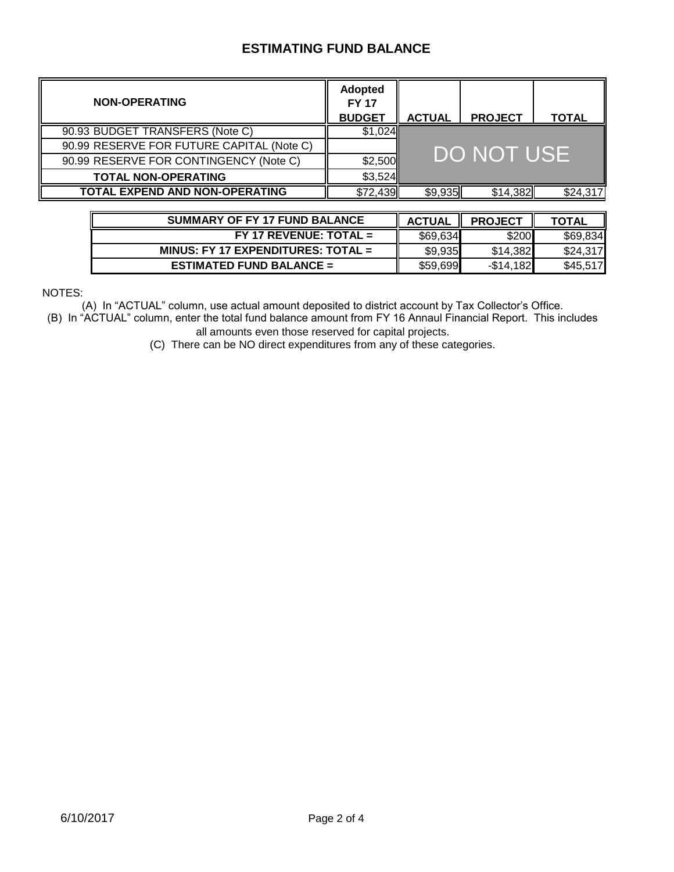| <b>NON-OPERATING</b>                      | <b>Adopted</b><br><b>FY 17</b><br><b>BUDGET</b> | <b>ACTUAL</b> | <b>PROJECT</b> | <b>TOTAL</b> |
|-------------------------------------------|-------------------------------------------------|---------------|----------------|--------------|
| 90.93 BUDGET TRANSFERS (Note C)           | \$1,024                                         |               |                |              |
| 90.99 RESERVE FOR FUTURE CAPITAL (Note C) |                                                 |               |                |              |
| 90.99 RESERVE FOR CONTINGENCY (Note C)    | \$2,500                                         |               | DO NOT USE     |              |
| <b>TOTAL NON-OPERATING</b>                | \$3,524                                         |               |                |              |
| <b>TOTAL EXPEND AND NON-OPERATING</b>     | \$72,439                                        | \$9,935       | \$14,382       | \$24,317     |

| <b>SUMMARY OF FY 17 FUND BALANCE</b> | <b>ACTUAL</b> | <b>PROJECT</b> | <b>TOTAL</b> |
|--------------------------------------|---------------|----------------|--------------|
| $FY$ 17 REVENUE: TOTAL =             | \$69,634      | \$200          | \$69,834     |
| MINUS: FY 17 EXPENDITURES: TOTAL $=$ | \$9,935       | \$14.382       | \$24,317     |
| <b>ESTIMATED FUND BALANCE =</b>      | \$59,699      | $-$ \$14.182   | \$45,517     |

NOTES:

(A) In "ACTUAL" column, use actual amount deposited to district account by Tax Collector's Office.

(B) In "ACTUAL" column, enter the total fund balance amount from FY 16 Annaul Financial Report. This includes all amounts even those reserved for capital projects.

(C) There can be NO direct expenditures from any of these categories.